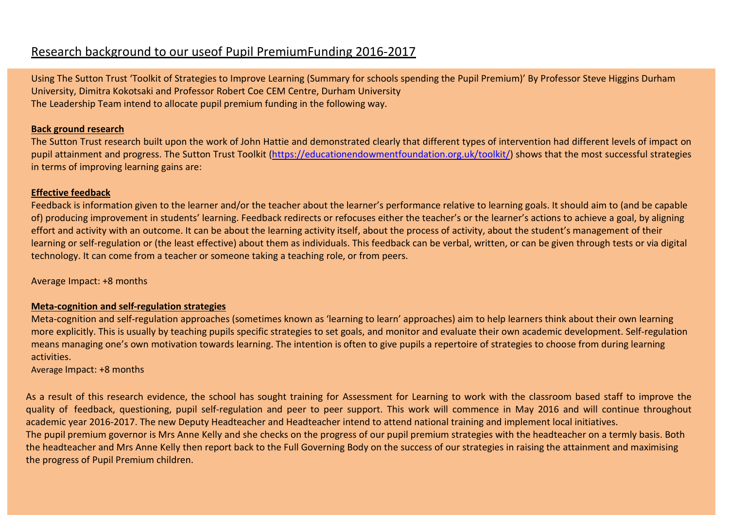Using The Sutton Trust 'Toolkit of Strategies to Improve Learning (Summary for schools spending the Pupil Premium)' By Professor Steve Higgins Durham University, Dimitra Kokotsaki and Professor Robert Coe CEM Centre, Durham University The Leadership Team intend to allocate pupil premium funding in the following way.

## **Back ground research**

The Sutton Trust research built upon the work of John Hattie and demonstrated clearly that different types of intervention had different levels of impact on pupil attainment and progress. The Sutton Trust Toolkit (https://educationendowmentfoundation.org.uk/toolkit/) shows that the most successful strategies in terms of improving learning gains are:

## **Effective feedback**

Feedback is information given to the learner and/or the teacher about the learner's performance relative to learning goals. It should aim to (and be capable of) producing improvement in students' learning. Feedback redirects or refocuses either the teacher's or the learner's actions to achieve a goal, by aligning effort and activity with an outcome. It can be about the learning activity itself, about the process of activity, about the student's management of their learning or self-regulation or (the least effective) about them as individuals. This feedback can be verbal, written, or can be given through tests or via digital technology. It can come from a teacher or someone taking a teaching role, or from peers.

Average Impact: +8 months

## **Meta-cognition and self-regulation strategies**

Meta-cognition and self-regulation approaches (sometimes known as 'learning to learn' approaches) aim to help learners think about their own learning more explicitly. This is usually by teaching pupils specific strategies to set goals, and monitor and evaluate their own academic development. Self-regulation means managing one's own motivation towards learning. The intention is often to give pupils a repertoire of strategies to choose from during learning activities.

Average Impact: +8 months

As a result of this research evidence, the school has sought training for Assessment for Learning to work with the classroom based staff to improve the quality of feedback, questioning, pupil self-regulation and peer to peer support. This work will commence in May 2016 and will continue throughout academic year 2016-2017. The new Deputy Headteacher and Headteacher intend to attend national training and implement local initiatives. The pupil premium governor is Mrs Anne Kelly and she checks on the progress of our pupil premium strategies with the headteacher on a termly basis. Both the headteacher and Mrs Anne Kelly then report back to the Full Governing Body on the success of our strategies in raising the attainment and maximising the progress of Pupil Premium children.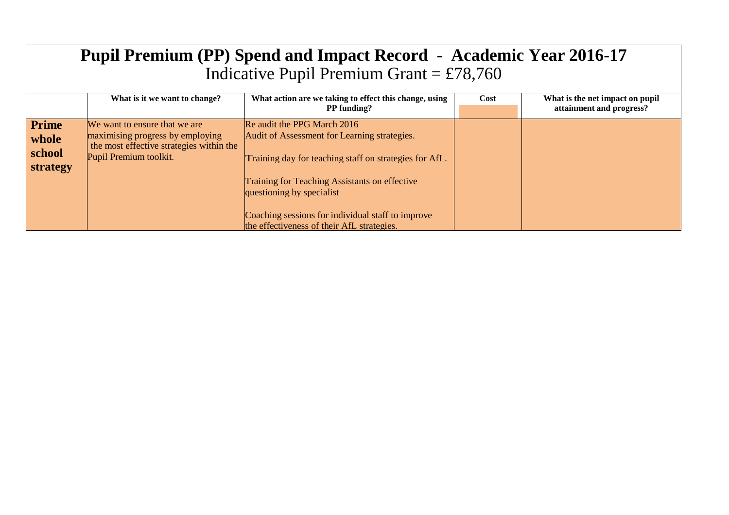| <b>Pupil Premium (PP) Spend and Impact Record - Academic Year 2016-17</b><br>Indicative Pupil Premium Grant = £78,760 |                                                                                                                                                                                      |                                                                                                                                                                                                                                                                                                                        |  |  |  |  |
|-----------------------------------------------------------------------------------------------------------------------|--------------------------------------------------------------------------------------------------------------------------------------------------------------------------------------|------------------------------------------------------------------------------------------------------------------------------------------------------------------------------------------------------------------------------------------------------------------------------------------------------------------------|--|--|--|--|
|                                                                                                                       | What action are we taking to effect this change, using<br>What is it we want to change?<br>What is the net impact on pupil<br>Cost<br>attainment and progress?<br><b>PP</b> funding? |                                                                                                                                                                                                                                                                                                                        |  |  |  |  |
| <b>Prime</b><br>whole<br>school<br>strategy                                                                           | We want to ensure that we are<br>maximising progress by employing<br>the most effective strategies within the<br>Pupil Premium toolkit.                                              | Re audit the PPG March 2016<br>Audit of Assessment for Learning strategies.<br>Training day for teaching staff on strategies for AfL.<br>Training for Teaching Assistants on effective<br>questioning by specialist<br>Coaching sessions for individual staff to improve<br>the effectiveness of their AfL strategies. |  |  |  |  |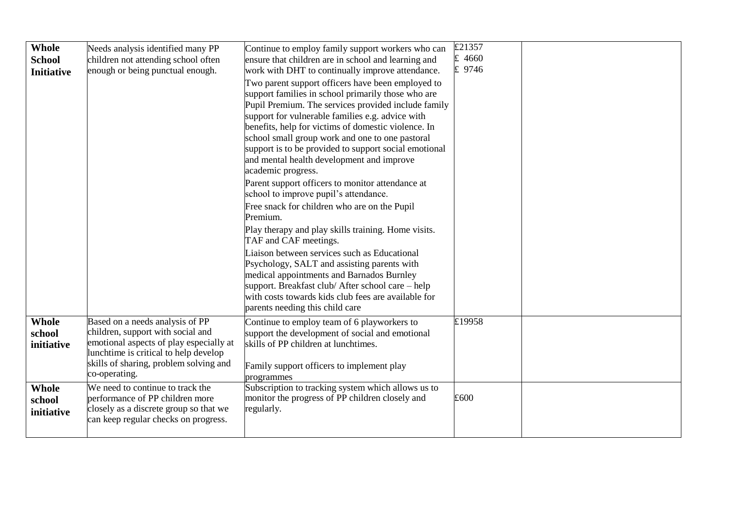| Whole<br><b>School</b><br><b>Initiative</b> | Needs analysis identified many PP<br>children not attending school often<br>enough or being punctual enough.                                                                                                        | Continue to employ family support workers who can<br>ensure that children are in school and learning and<br>work with DHT to continually improve attendance.<br>Two parent support officers have been employed to<br>support families in school primarily those who are<br>Pupil Premium. The services provided include family<br>support for vulnerable families e.g. advice with<br>benefits, help for victims of domestic violence. In<br>school small group work and one to one pastoral<br>support is to be provided to support social emotional<br>and mental health development and improve<br>academic progress.<br>Parent support officers to monitor attendance at<br>school to improve pupil's attendance.<br>Free snack for children who are on the Pupil<br>Premium.<br>Play therapy and play skills training. Home visits.<br>TAF and CAF meetings. | £21357<br>£ 4660<br>£ 9746 |  |
|---------------------------------------------|---------------------------------------------------------------------------------------------------------------------------------------------------------------------------------------------------------------------|-------------------------------------------------------------------------------------------------------------------------------------------------------------------------------------------------------------------------------------------------------------------------------------------------------------------------------------------------------------------------------------------------------------------------------------------------------------------------------------------------------------------------------------------------------------------------------------------------------------------------------------------------------------------------------------------------------------------------------------------------------------------------------------------------------------------------------------------------------------------|----------------------------|--|
|                                             |                                                                                                                                                                                                                     | Liaison between services such as Educational<br>Psychology, SALT and assisting parents with<br>medical appointments and Barnados Burnley<br>support. Breakfast club/After school care – help<br>with costs towards kids club fees are available for<br>parents needing this child care                                                                                                                                                                                                                                                                                                                                                                                                                                                                                                                                                                            |                            |  |
| Whole<br>school<br>initiative               | Based on a needs analysis of PP<br>children, support with social and<br>emotional aspects of play especially at<br>lunchtime is critical to help develop<br>skills of sharing, problem solving and<br>co-operating. | Continue to employ team of 6 playworkers to<br>support the development of social and emotional<br>skills of PP children at lunchtimes.<br>Family support officers to implement play<br>programmes                                                                                                                                                                                                                                                                                                                                                                                                                                                                                                                                                                                                                                                                 | £19958                     |  |
| <b>Whole</b><br>school<br>initiative        | We need to continue to track the<br>performance of PP children more<br>closely as a discrete group so that we<br>can keep regular checks on progress.                                                               | Subscription to tracking system which allows us to<br>monitor the progress of PP children closely and<br>regularly.                                                                                                                                                                                                                                                                                                                                                                                                                                                                                                                                                                                                                                                                                                                                               | £600                       |  |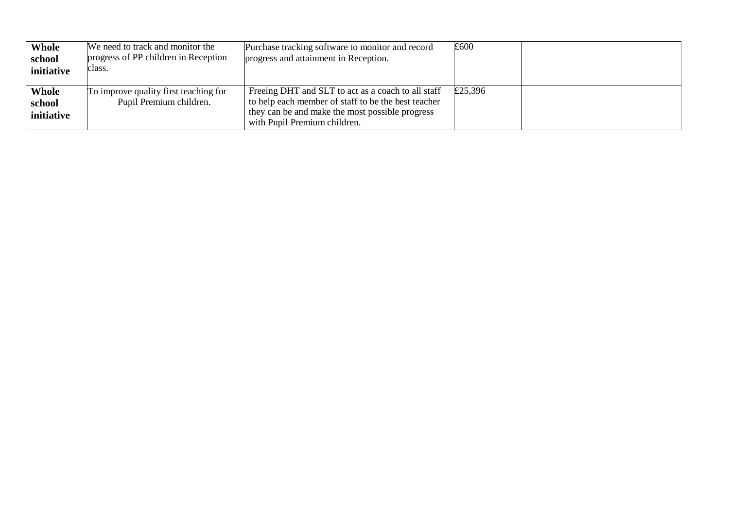| Whole<br>school<br>initiative        | We need to track and monitor the<br>progress of PP children in Reception<br>class. | Purchase tracking software to monitor and record<br>progress and attainment in Reception.                                                                                                    | £600    |  |
|--------------------------------------|------------------------------------------------------------------------------------|----------------------------------------------------------------------------------------------------------------------------------------------------------------------------------------------|---------|--|
| <b>Whole</b><br>school<br>initiative | To improve quality first teaching for<br>Pupil Premium children.                   | Freeing DHT and SLT to act as a coach to all staff<br>to help each member of staff to be the best teacher<br>they can be and make the most possible progress<br>with Pupil Premium children. | £25,396 |  |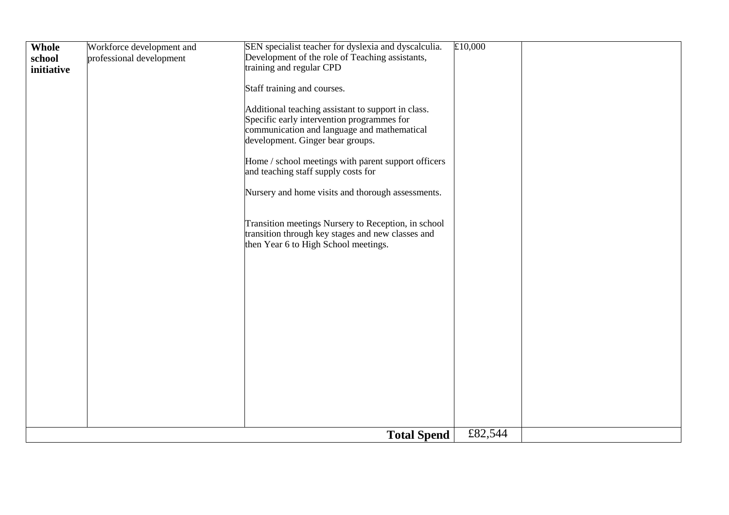| <b>Whole</b> | Workforce development and | SEN specialist teacher for dyslexia and dyscalculia. | £10,000 |  |
|--------------|---------------------------|------------------------------------------------------|---------|--|
| school       | professional development  | Development of the role of Teaching assistants,      |         |  |
| initiative   |                           | training and regular CPD                             |         |  |
|              |                           |                                                      |         |  |
|              |                           | Staff training and courses.                          |         |  |
|              |                           |                                                      |         |  |
|              |                           | Additional teaching assistant to support in class.   |         |  |
|              |                           | Specific early intervention programmes for           |         |  |
|              |                           | communication and language and mathematical          |         |  |
|              |                           | development. Ginger bear groups.                     |         |  |
|              |                           |                                                      |         |  |
|              |                           | Home / school meetings with parent support officers  |         |  |
|              |                           | and teaching staff supply costs for                  |         |  |
|              |                           | Nursery and home visits and thorough assessments.    |         |  |
|              |                           |                                                      |         |  |
|              |                           |                                                      |         |  |
|              |                           | Transition meetings Nursery to Reception, in school  |         |  |
|              |                           | transition through key stages and new classes and    |         |  |
|              |                           | then Year 6 to High School meetings.                 |         |  |
|              |                           |                                                      |         |  |
|              |                           |                                                      |         |  |
|              |                           |                                                      |         |  |
|              |                           |                                                      |         |  |
|              |                           |                                                      |         |  |
|              |                           |                                                      |         |  |
|              |                           |                                                      |         |  |
|              |                           |                                                      |         |  |
|              |                           |                                                      |         |  |
|              |                           |                                                      |         |  |
|              |                           |                                                      |         |  |
|              |                           |                                                      |         |  |
|              |                           |                                                      |         |  |
|              |                           |                                                      |         |  |
|              |                           |                                                      |         |  |
|              |                           |                                                      |         |  |
|              |                           | <b>Total Spend</b>                                   | £82,544 |  |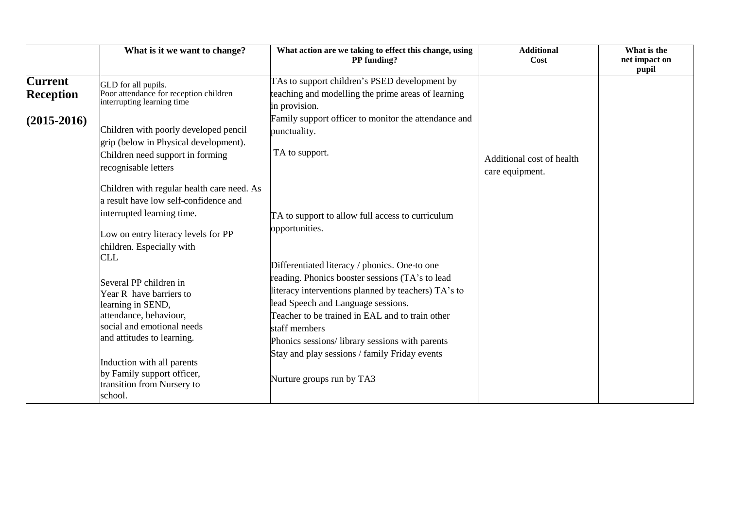|                                    | What is it we want to change?                                                                                                                                                                                                                                                                                                                                                                                                                                     | What action are we taking to effect this change, using<br>PP funding?                                                                                                                                                                                                                                                                                                                                                                                                   | <b>Additional</b><br>Cost                    | What is the<br>net impact on<br>pupil |
|------------------------------------|-------------------------------------------------------------------------------------------------------------------------------------------------------------------------------------------------------------------------------------------------------------------------------------------------------------------------------------------------------------------------------------------------------------------------------------------------------------------|-------------------------------------------------------------------------------------------------------------------------------------------------------------------------------------------------------------------------------------------------------------------------------------------------------------------------------------------------------------------------------------------------------------------------------------------------------------------------|----------------------------------------------|---------------------------------------|
| <b>Current</b><br><b>Reception</b> | GLD for all pupils.<br>Poor attendance for reception children<br>interrupting learning time                                                                                                                                                                                                                                                                                                                                                                       | TAs to support children's PSED development by<br>teaching and modelling the prime areas of learning<br>in provision.                                                                                                                                                                                                                                                                                                                                                    |                                              |                                       |
| $(2015 - 2016)$                    | Children with poorly developed pencil<br>grip (below in Physical development).<br>Children need support in forming<br>recognisable letters                                                                                                                                                                                                                                                                                                                        | Family support officer to monitor the attendance and<br>punctuality.<br>TA to support.                                                                                                                                                                                                                                                                                                                                                                                  | Additional cost of health<br>care equipment. |                                       |
|                                    | Children with regular health care need. As<br>a result have low self-confidence and<br>interrupted learning time.<br>Low on entry literacy levels for PP<br>children. Especially with<br>CLL<br>Several PP children in<br>Year R have barriers to<br>learning in SEND,<br>attendance, behaviour,<br>social and emotional needs<br>and attitudes to learning.<br>Induction with all parents<br>by Family support officer,<br>transition from Nursery to<br>school. | TA to support to allow full access to curriculum<br>opportunities.<br>Differentiated literacy / phonics. One-to one<br>reading. Phonics booster sessions (TA's to lead<br>literacy interventions planned by teachers) TA's to<br>lead Speech and Language sessions.<br>Teacher to be trained in EAL and to train other<br>staff members<br>Phonics sessions/library sessions with parents<br>Stay and play sessions / family Friday events<br>Nurture groups run by TA3 |                                              |                                       |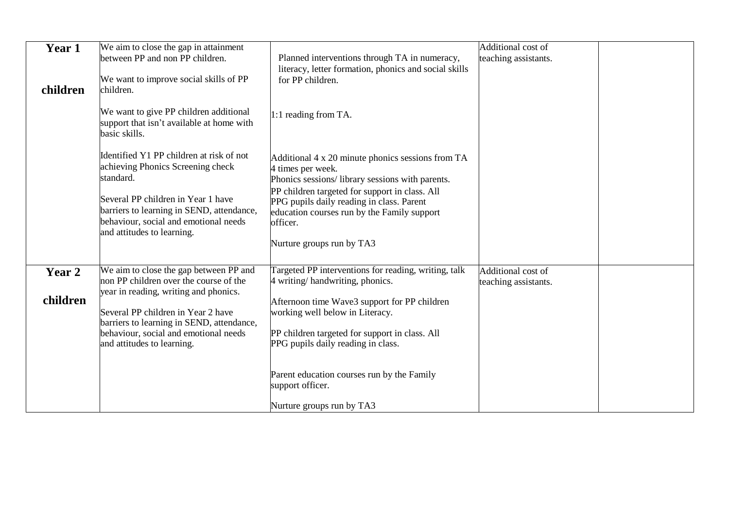| Year 1<br>children | We aim to close the gap in attainment<br>between PP and non PP children.<br>We want to improve social skills of PP<br>children.<br>We want to give PP children additional<br>support that isn't available at home with<br>basic skills.                                             | Planned interventions through TA in numeracy,<br>literacy, letter formation, phonics and social skills<br>for PP children.<br>$1:1$ reading from TA.                                                                                                                                                                                                              | Additional cost of<br>teaching assistants. |
|--------------------|-------------------------------------------------------------------------------------------------------------------------------------------------------------------------------------------------------------------------------------------------------------------------------------|-------------------------------------------------------------------------------------------------------------------------------------------------------------------------------------------------------------------------------------------------------------------------------------------------------------------------------------------------------------------|--------------------------------------------|
|                    | Identified Y1 PP children at risk of not<br>achieving Phonics Screening check<br>standard.<br>Several PP children in Year 1 have<br>barriers to learning in SEND, attendance,<br>behaviour, social and emotional needs<br>and attitudes to learning.                                | Additional 4 x 20 minute phonics sessions from TA<br>4 times per week.<br>Phonics sessions/library sessions with parents.<br>PP children targeted for support in class. All<br>PPG pupils daily reading in class. Parent<br>education courses run by the Family support<br>officer.<br>Nurture groups run by TA3                                                  |                                            |
| Year 2<br>children | We aim to close the gap between PP and<br>non PP children over the course of the<br>year in reading, writing and phonics.<br>Several PP children in Year 2 have<br>barriers to learning in SEND, attendance,<br>behaviour, social and emotional needs<br>and attitudes to learning. | Targeted PP interventions for reading, writing, talk<br>4 writing/handwriting, phonics.<br>Afternoon time Wave3 support for PP children<br>working well below in Literacy.<br>PP children targeted for support in class. All<br>PPG pupils daily reading in class.<br>Parent education courses run by the Family<br>support officer.<br>Nurture groups run by TA3 | Additional cost of<br>teaching assistants. |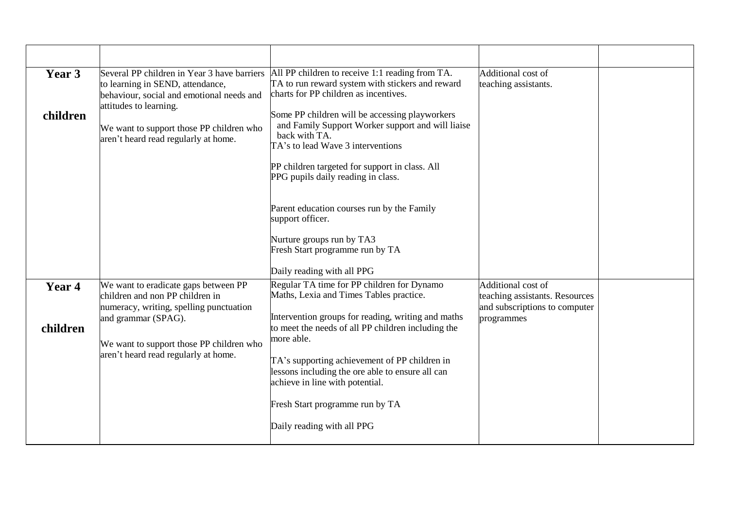| Year 3<br>children | Several PP children in Year 3 have barriers<br>to learning in SEND, attendance,<br>behaviour, social and emotional needs and<br>attitudes to learning.<br>We want to support those PP children who<br>aren't heard read regularly at home. | All PP children to receive 1:1 reading from TA.<br>TA to run reward system with stickers and reward<br>charts for PP children as incentives.<br>Some PP children will be accessing playworkers<br>and Family Support Worker support and will liaise<br>back with TA.<br>TA's to lead Wave 3 interventions<br>PP children targeted for support in class. All<br>PPG pupils daily reading in class.<br>Parent education courses run by the Family<br>support officer.<br>Nurture groups run by TA3<br>Fresh Start programme run by TA<br>Daily reading with all PPG | Additional cost of<br>teaching assistants.                                                          |  |
|--------------------|--------------------------------------------------------------------------------------------------------------------------------------------------------------------------------------------------------------------------------------------|-------------------------------------------------------------------------------------------------------------------------------------------------------------------------------------------------------------------------------------------------------------------------------------------------------------------------------------------------------------------------------------------------------------------------------------------------------------------------------------------------------------------------------------------------------------------|-----------------------------------------------------------------------------------------------------|--|
| Year 4<br>children | We want to eradicate gaps between PP<br>children and non PP children in<br>numeracy, writing, spelling punctuation<br>and grammar (SPAG).<br>We want to support those PP children who<br>aren't heard read regularly at home.              | Regular TA time for PP children for Dynamo<br>Maths, Lexia and Times Tables practice.<br>Intervention groups for reading, writing and maths<br>to meet the needs of all PP children including the<br>more able.<br>TA's supporting achievement of PP children in<br>lessons including the ore able to ensure all can<br>achieve in line with potential.<br>Fresh Start programme run by TA<br>Daily reading with all PPG                                                                                                                                          | Additional cost of<br>teaching assistants. Resources<br>and subscriptions to computer<br>programmes |  |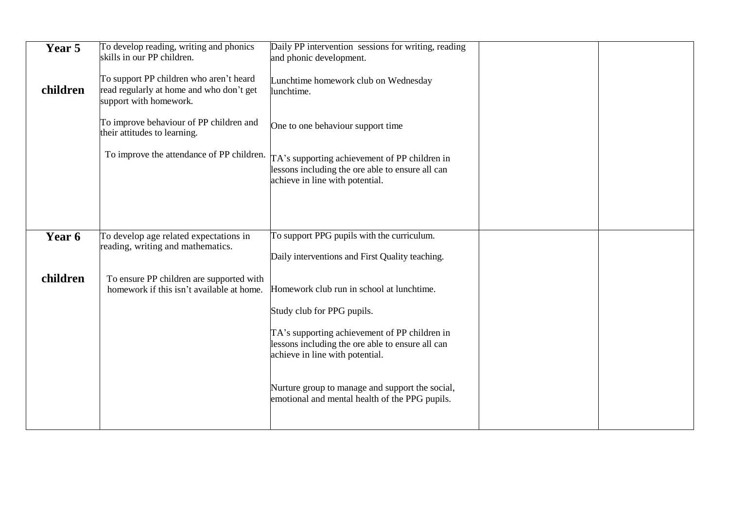| Year 5   | To develop reading, writing and phonics<br>skills in our PP children.<br>To support PP children who aren't heard | Daily PP intervention sessions for writing, reading<br>and phonic development.<br>Lunchtime homework club on Wednesday               |  |
|----------|------------------------------------------------------------------------------------------------------------------|--------------------------------------------------------------------------------------------------------------------------------------|--|
| children | read regularly at home and who don't get<br>support with homework.<br>To improve behaviour of PP children and    | lunchtime.<br>One to one behaviour support time                                                                                      |  |
|          | their attitudes to learning.<br>To improve the attendance of PP children.                                        | TA's supporting achievement of PP children in                                                                                        |  |
|          |                                                                                                                  | lessons including the ore able to ensure all can<br>achieve in line with potential.                                                  |  |
|          |                                                                                                                  |                                                                                                                                      |  |
| Year 6   | To develop age related expectations in<br>reading, writing and mathematics.                                      | To support PPG pupils with the curriculum.<br>Daily interventions and First Quality teaching.                                        |  |
| children | To ensure PP children are supported with<br>homework if this isn't available at home.                            | Homework club run in school at lunchtime.                                                                                            |  |
|          |                                                                                                                  | Study club for PPG pupils.                                                                                                           |  |
|          |                                                                                                                  | TA's supporting achievement of PP children in<br>lessons including the ore able to ensure all can<br>achieve in line with potential. |  |
|          |                                                                                                                  | Nurture group to manage and support the social,<br>emotional and mental health of the PPG pupils.                                    |  |
|          |                                                                                                                  |                                                                                                                                      |  |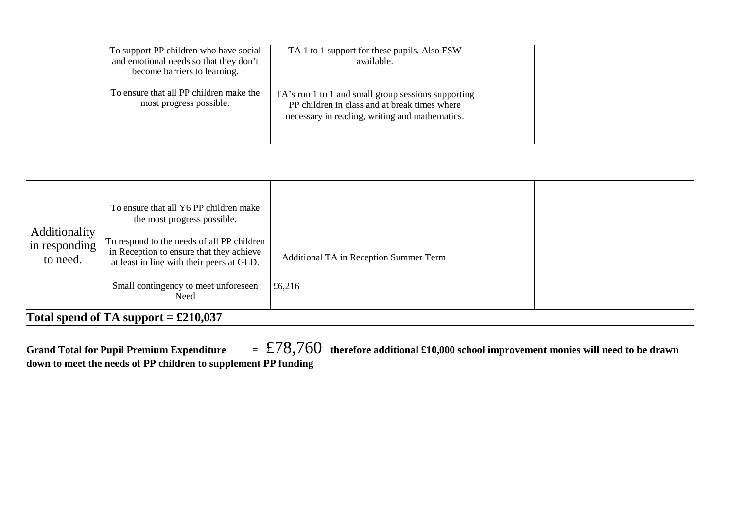|                                        | To support PP children who have social<br>and emotional needs so that they don't<br>become barriers to learning.                    | TA 1 to 1 support for these pupils. Also FSW<br>available.                                                                                             |  |  |
|----------------------------------------|-------------------------------------------------------------------------------------------------------------------------------------|--------------------------------------------------------------------------------------------------------------------------------------------------------|--|--|
|                                        | To ensure that all PP children make the<br>most progress possible.                                                                  | TA's run 1 to 1 and small group sessions supporting<br>PP children in class and at break times where<br>necessary in reading, writing and mathematics. |  |  |
|                                        |                                                                                                                                     |                                                                                                                                                        |  |  |
|                                        |                                                                                                                                     |                                                                                                                                                        |  |  |
| Additionality                          | To ensure that all Y6 PP children make<br>the most progress possible.                                                               |                                                                                                                                                        |  |  |
| in responding<br>to need.              | To respond to the needs of all PP children<br>in Reception to ensure that they achieve<br>at least in line with their peers at GLD. | Additional TA in Reception Summer Term                                                                                                                 |  |  |
|                                        | Small contingency to meet unforeseen<br>Need                                                                                        | £6,216                                                                                                                                                 |  |  |
| Total spend of TA support = $£210,037$ |                                                                                                                                     |                                                                                                                                                        |  |  |

**Grand Total for Pupil Premium Expenditure =** £78,760 **therefore additional £10,000 school improvement monies will need to be drawn down to meet the needs of PP children to supplement PP funding**